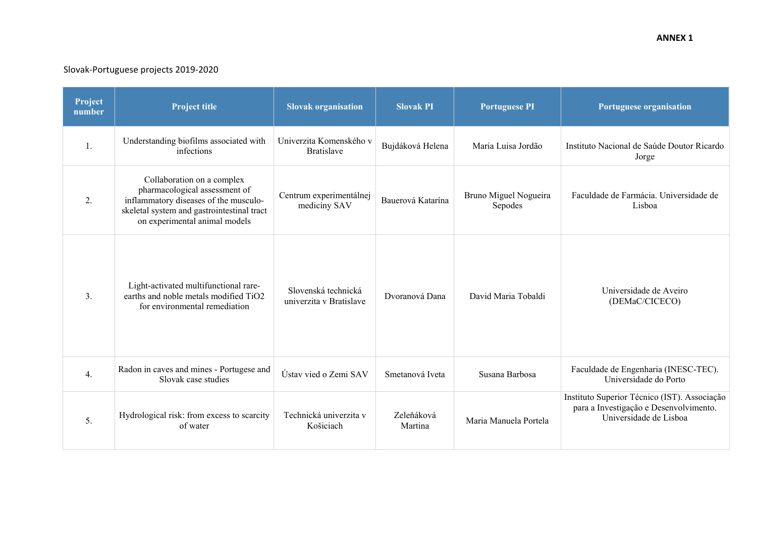## Slovak‐Portuguese projects 2019‐2020

| Project<br>number | <b>Project title</b>                                                                                                                                                                | <b>Slovak organisation</b>                     | <b>Slovak PI</b>      | <b>Portuguese PI</b>             | Portuguese organisation                                                                                          |
|-------------------|-------------------------------------------------------------------------------------------------------------------------------------------------------------------------------------|------------------------------------------------|-----------------------|----------------------------------|------------------------------------------------------------------------------------------------------------------|
| 1.                | Understanding biofilms associated with<br>infections                                                                                                                                | Univerzita Komenského v<br><b>Bratislave</b>   | Bujdáková Helena      | Maria Luisa Jordão               | Instituto Nacional de Saúde Doutor Ricardo<br>Jorge                                                              |
| 2.                | Collaboration on a complex<br>pharmacological assessment of<br>inflammatory diseases of the musculo-<br>skeletal system and gastrointestinal tract<br>on experimental animal models | Centrum experimentálnej<br>medicíny SAV        | Bauerová Katarína     | Bruno Miguel Nogueira<br>Sepodes | Faculdade de Farmácia. Universidade de<br>Lisboa                                                                 |
| 3.                | Light-activated multifunctional rare-<br>earths and noble metals modified TiO2<br>for environmental remediation                                                                     | Slovenská technická<br>univerzita v Bratislave | Dvoranová Dana        | David Maria Tobaldi              | Universidade de Aveiro<br>(DEMaC/CICECO)                                                                         |
| 4.                | Radon in caves and mines - Portugese and<br>Slovak case studies                                                                                                                     | Ústav vied o Zemi SAV                          | Smetanová Iveta       | Susana Barbosa                   | Faculdade de Engenharia (INESC-TEC).<br>Universidade do Porto                                                    |
| 5.                | Hydrological risk: from excess to scarcity<br>of water                                                                                                                              | Technická univerzita v<br>Košiciach            | Zeleňáková<br>Martina | Maria Manuela Portela            | Instituto Superior Técnico (IST). Associação<br>para a Investigação e Desenvolvimento.<br>Universidade de Lisboa |